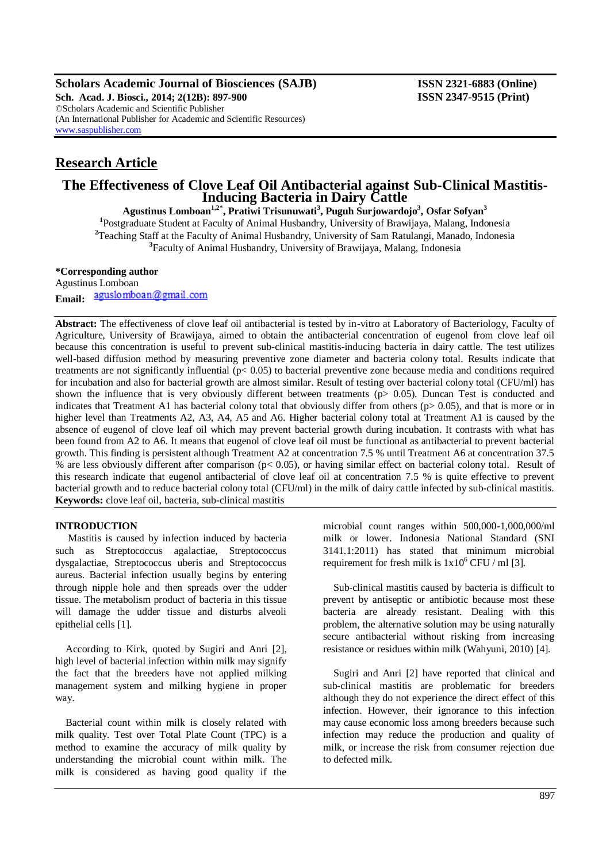**Scholars Academic Journal of Biosciences (SAJB) ISSN 2321-6883 (Online) Sch. Acad. J. Biosci., 2014; 2(12B): 897-900 ISSN 2347-9515 (Print)** ©Scholars Academic and Scientific Publisher (An International Publisher for Academic and Scientific Resources) [www.saspublisher.com](http://www.saspublisher.com/)

# **Research Article**

## **The Effectiveness of Clove Leaf Oil Antibacterial against Sub-Clinical Mastitis-Inducing Bacteria in Dairy Cattle**

**Agustinus Lomboan1,2\*, Pratiwi Trisunuwati<sup>3</sup> , Puguh Surjowardojo<sup>3</sup> , Osfar Sofyan<sup>3</sup> 1** Postgraduate Student at Faculty of Animal Husbandry, University of Brawijaya, Malang, Indonesia <sup>2</sup>Teaching Staff at the Faculty of Animal Husbandry, University of Sam Ratulangi, Manado, Indonesia **3** Faculty of Animal Husbandry, University of Brawijaya, Malang, Indonesia

## **\*Corresponding author**

Agustinus Lomboan Email: aguslomboan@gmail.com

**Abstract:** The effectiveness of clove leaf oil antibacterial is tested by in-vitro at Laboratory of Bacteriology, Faculty of Agriculture, University of Brawijaya, aimed to obtain the antibacterial concentration of eugenol from clove leaf oil because this concentration is useful to prevent sub-clinical mastitis-inducing bacteria in dairy cattle. The test utilizes well-based diffusion method by measuring preventive zone diameter and bacteria colony total. Results indicate that treatments are not significantly influential (p< 0.05) to bacterial preventive zone because media and conditions required for incubation and also for bacterial growth are almost similar. Result of testing over bacterial colony total (CFU/ml) has shown the influence that is very obviously different between treatments ( $p > 0.05$ ). Duncan Test is conducted and indicates that Treatment A1 has bacterial colony total that obviously differ from others (p> 0.05), and that is more or in higher level than Treatments A2, A3, A4, A5 and A6. Higher bacterial colony total at Treatment A1 is caused by the absence of eugenol of clove leaf oil which may prevent bacterial growth during incubation. It contrasts with what has been found from A2 to A6. It means that eugenol of clove leaf oil must be functional as antibacterial to prevent bacterial growth. This finding is persistent although Treatment A2 at concentration 7.5 % until Treatment A6 at concentration 37.5 % are less obviously different after comparison (p< 0.05), or having similar effect on bacterial colony total. Result of this research indicate that eugenol antibacterial of clove leaf oil at concentration 7.5 % is quite effective to prevent bacterial growth and to reduce bacterial colony total (CFU/ml) in the milk of dairy cattle infected by sub-clinical mastitis. **Keywords:** clove leaf oil, bacteria, sub-clinical mastitis

## **INTRODUCTION**

Mastitis is caused by infection induced by bacteria such as Streptococcus agalactiae, Streptococcus dysgalactiae, Streptococcus uberis and Streptococcus aureus. Bacterial infection usually begins by entering through nipple hole and then spreads over the udder tissue. The metabolism product of bacteria in this tissue will damage the udder tissue and disturbs alveoli epithelial cells [1].

According to Kirk, quoted by Sugiri and Anri [2], high level of bacterial infection within milk may signify the fact that the breeders have not applied milking management system and milking hygiene in proper way.

Bacterial count within milk is closely related with milk quality. Test over Total Plate Count (TPC) is a method to examine the accuracy of milk quality by understanding the microbial count within milk. The milk is considered as having good quality if the

microbial count ranges within 500,000-1,000,000/ml milk or lower. Indonesia National Standard (SNI 3141.1:2011) has stated that minimum microbial requirement for fresh milk is  $1x10^6$  CFU / ml [3].

Sub-clinical mastitis caused by bacteria is difficult to prevent by antiseptic or antibiotic because most these bacteria are already resistant. Dealing with this problem, the alternative solution may be using naturally secure antibacterial without risking from increasing resistance or residues within milk (Wahyuni, 2010) [4].

Sugiri and Anri [2] have reported that clinical and sub-clinical mastitis are problematic for breeders although they do not experience the direct effect of this infection. However, their ignorance to this infection may cause economic loss among breeders because such infection may reduce the production and quality of milk, or increase the risk from consumer rejection due to defected milk.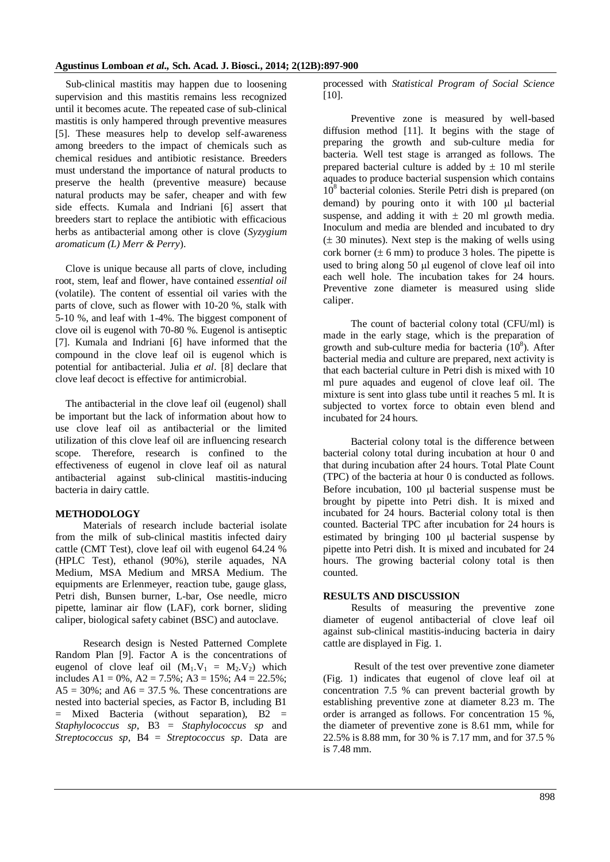Sub-clinical mastitis may happen due to loosening supervision and this mastitis remains less recognized until it becomes acute. The repeated case of sub-clinical mastitis is only hampered through preventive measures [5]. These measures help to develop self-awareness among breeders to the impact of chemicals such as chemical residues and antibiotic resistance. Breeders must understand the importance of natural products to preserve the health (preventive measure) because natural products may be safer, cheaper and with few side effects. Kumala and Indriani [6] assert that breeders start to replace the antibiotic with efficacious herbs as antibacterial among other is clove (*Syzygium aromaticum (L) Merr & Perry*).

Clove is unique because all parts of clove, including root, stem, leaf and flower, have contained *essential oil* (volatile). The content of essential oil varies with the parts of clove, such as flower with 10-20 %, stalk with 5-10 %, and leaf with 1-4%. The biggest component of clove oil is eugenol with 70-80 %. Eugenol is antiseptic [7]. Kumala and Indriani [6] have informed that the compound in the clove leaf oil is eugenol which is potential for antibacterial. Julia *et al*. [8] declare that clove leaf decoct is effective for antimicrobial.

The antibacterial in the clove leaf oil (eugenol) shall be important but the lack of information about how to use clove leaf oil as antibacterial or the limited utilization of this clove leaf oil are influencing research scope. Therefore, research is confined to the effectiveness of eugenol in clove leaf oil as natural antibacterial against sub-clinical mastitis-inducing bacteria in dairy cattle.

#### **METHODOLOGY**

Materials of research include bacterial isolate from the milk of sub-clinical mastitis infected dairy cattle (CMT Test), clove leaf oil with eugenol 64.24 % (HPLC Test), ethanol (90%), sterile aquades, NA Medium, MSA Medium and MRSA Medium. The equipments are Erlenmeyer, reaction tube, gauge glass, Petri dish, Bunsen burner, L-bar, Ose needle, micro pipette, laminar air flow (LAF), cork borner, sliding caliper, biological safety cabinet (BSC) and autoclave.

Research design is Nested Patterned Complete Random Plan [9]. Factor A is the concentrations of eugenol of clove leaf oil  $(M_1.V_1 = M_2.V_2)$  which includes A1 = 0%, A2 = 7.5%; A3 = 15%; A4 = 22.5%;  $AS = 30\%$ ; and  $A6 = 37.5\%$ . These concentrations are nested into bacterial species, as Factor B, including B1 = Mixed Bacteria (without separation), B2 = *Staphylococcus sp*, B3 = *Staphylococcus sp* and *Streptococcus sp*, B4 = *Streptococcus sp*. Data are

processed with *Statistical Program of Social Science*  [10].

Preventive zone is measured by well-based diffusion method [11]. It begins with the stage of preparing the growth and sub-culture media for bacteria. Well test stage is arranged as follows. The prepared bacterial culture is added by  $\pm$  10 ml sterile aquades to produce bacterial suspension which contains  $10^8$  bacterial colonies. Sterile Petri dish is prepared (on demand) by pouring onto it with  $100 \mu l$  bacterial suspense, and adding it with  $\pm$  20 ml growth media. Inoculum and media are blended and incubated to dry  $(\pm 30$  minutes). Next step is the making of wells using cork borner  $(\pm 6 \text{ mm})$  to produce 3 holes. The pipette is used to bring along 50 µl eugenol of clove leaf oil into each well hole. The incubation takes for 24 hours. Preventive zone diameter is measured using slide caliper.

The count of bacterial colony total (CFU/ml) is made in the early stage, which is the preparation of growth and sub-culture media for bacteria  $(10^8)$ . After bacterial media and culture are prepared, next activity is that each bacterial culture in Petri dish is mixed with 10 ml pure aquades and eugenol of clove leaf oil. The mixture is sent into glass tube until it reaches 5 ml. It is subjected to vortex force to obtain even blend and incubated for 24 hours.

Bacterial colony total is the difference between bacterial colony total during incubation at hour 0 and that during incubation after 24 hours. Total Plate Count (TPC) of the bacteria at hour 0 is conducted as follows. Before incubation,  $100 \mu l$  bacterial suspense must be brought by pipette into Petri dish. It is mixed and incubated for 24 hours. Bacterial colony total is then counted. Bacterial TPC after incubation for 24 hours is estimated by bringing  $100$   $\mu$  bacterial suspense by pipette into Petri dish. It is mixed and incubated for 24 hours. The growing bacterial colony total is then counted.

#### **RESULTS AND DISCUSSION**

Results of measuring the preventive zone diameter of eugenol antibacterial of clove leaf oil against sub-clinical mastitis-inducing bacteria in dairy cattle are displayed in Fig. 1.

Result of the test over preventive zone diameter (Fig. 1) indicates that eugenol of clove leaf oil at concentration 7.5 % can prevent bacterial growth by establishing preventive zone at diameter 8.23 m. The order is arranged as follows. For concentration 15 %, the diameter of preventive zone is 8.61 mm, while for 22.5% is 8.88 mm, for 30 % is 7.17 mm, and for 37.5 % is 7.48 mm.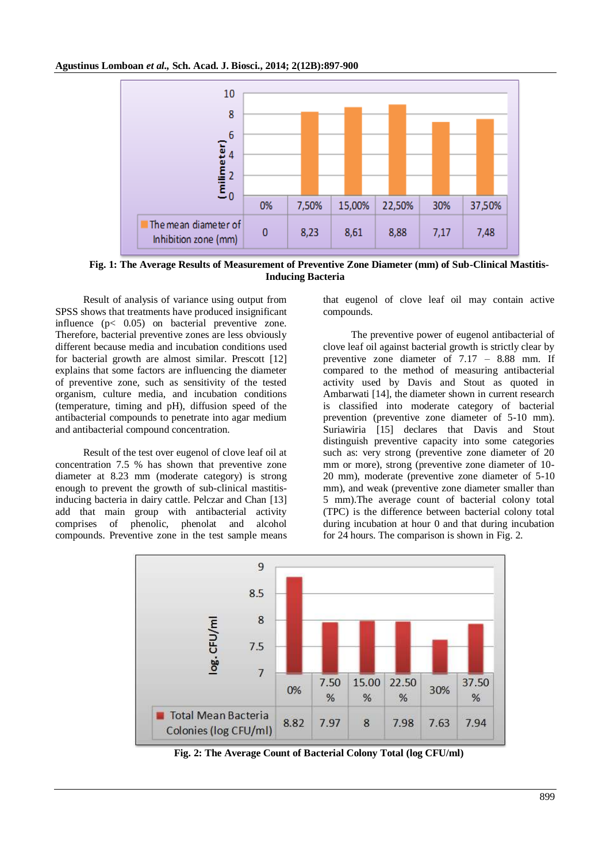

**Fig. 1: The Average Results of Measurement of Preventive Zone Diameter (mm) of Sub-Clinical Mastitis-Inducing Bacteria**

Result of analysis of variance using output from SPSS shows that treatments have produced insignificant influence (p< 0.05) on bacterial preventive zone. Therefore, bacterial preventive zones are less obviously different because media and incubation conditions used for bacterial growth are almost similar. Prescott [12] explains that some factors are influencing the diameter of preventive zone, such as sensitivity of the tested organism, culture media, and incubation conditions (temperature, timing and pH), diffusion speed of the antibacterial compounds to penetrate into agar medium and antibacterial compound concentration.

Result of the test over eugenol of clove leaf oil at concentration 7.5 % has shown that preventive zone diameter at 8.23 mm (moderate category) is strong enough to prevent the growth of sub-clinical mastitisinducing bacteria in dairy cattle. Pelczar and Chan [13] add that main group with antibacterial activity comprises of phenolic, phenolat and alcohol compounds. Preventive zone in the test sample means

that eugenol of clove leaf oil may contain active compounds.

The preventive power of eugenol antibacterial of clove leaf oil against bacterial growth is strictly clear by preventive zone diameter of 7.17 – 8.88 mm. If compared to the method of measuring antibacterial activity used by Davis and Stout as quoted in Ambarwati [14], the diameter shown in current research is classified into moderate category of bacterial prevention (preventive zone diameter of 5-10 mm). Suriawiria [15] declares that Davis and Stout distinguish preventive capacity into some categories such as: very strong (preventive zone diameter of 20 mm or more), strong (preventive zone diameter of 10- 20 mm), moderate (preventive zone diameter of 5-10 mm), and weak (preventive zone diameter smaller than 5 mm).The average count of bacterial colony total (TPC) is the difference between bacterial colony total during incubation at hour 0 and that during incubation for 24 hours. The comparison is shown in Fig. 2.



**Fig. 2: The Average Count of Bacterial Colony Total (log CFU/ml)**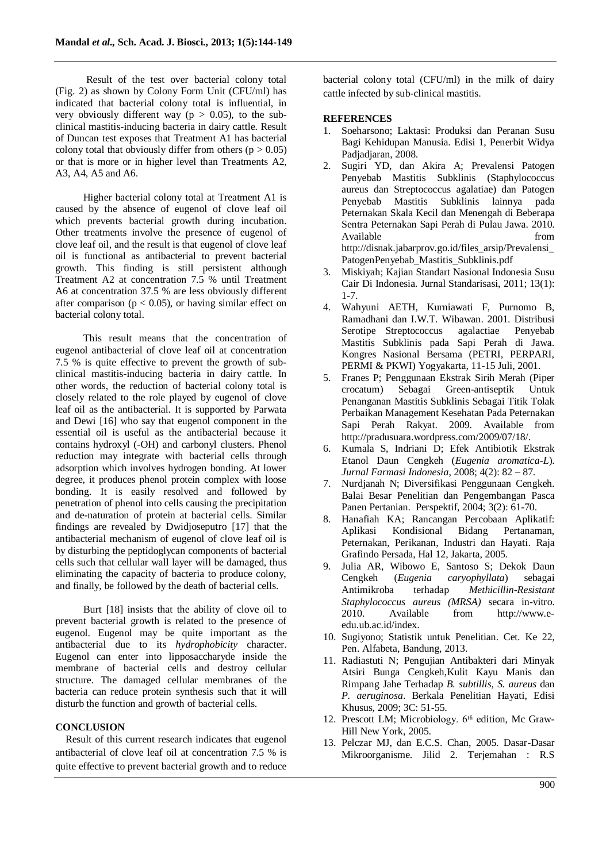Result of the test over bacterial colony total (Fig. 2) as shown by Colony Form Unit (CFU/ml) has indicated that bacterial colony total is influential, in very obviously different way ( $p > 0.05$ ), to the subclinical mastitis-inducing bacteria in dairy cattle. Result of Duncan test exposes that Treatment A1 has bacterial colony total that obviously differ from others ( $p > 0.05$ ) or that is more or in higher level than Treatments A2, A3, A4, A5 and A6.

Higher bacterial colony total at Treatment A1 is caused by the absence of eugenol of clove leaf oil which prevents bacterial growth during incubation. Other treatments involve the presence of eugenol of clove leaf oil, and the result is that eugenol of clove leaf oil is functional as antibacterial to prevent bacterial growth. This finding is still persistent although Treatment A2 at concentration 7.5 % until Treatment A6 at concentration 37.5 % are less obviously different after comparison ( $p < 0.05$ ), or having similar effect on bacterial colony total.

This result means that the concentration of eugenol antibacterial of clove leaf oil at concentration 7.5 % is quite effective to prevent the growth of subclinical mastitis-inducing bacteria in dairy cattle. In other words, the reduction of bacterial colony total is closely related to the role played by eugenol of clove leaf oil as the antibacterial. It is supported by Parwata and Dewi [16] who say that eugenol component in the essential oil is useful as the antibacterial because it contains hydroxyl (-OH) and carbonyl clusters. Phenol reduction may integrate with bacterial cells through adsorption which involves hydrogen bonding. At lower degree, it produces phenol protein complex with loose bonding. It is easily resolved and followed by penetration of phenol into cells causing the precipitation and de-naturation of protein at bacterial cells. Similar findings are revealed by Dwidjoseputro [17] that the antibacterial mechanism of eugenol of clove leaf oil is by disturbing the peptidoglycan components of bacterial cells such that cellular wall layer will be damaged, thus eliminating the capacity of bacteria to produce colony, and finally, be followed by the death of bacterial cells.

Burt [18] insists that the ability of clove oil to prevent bacterial growth is related to the presence of eugenol. Eugenol may be quite important as the antibacterial due to its *hydrophobicity* character. Eugenol can enter into lipposaccharyde inside the membrane of bacterial cells and destroy cellular structure. The damaged cellular membranes of the bacteria can reduce protein synthesis such that it will disturb the function and growth of bacterial cells.

## **CONCLUSION**

Result of this current research indicates that eugenol antibacterial of clove leaf oil at concentration 7.5 % is quite effective to prevent bacterial growth and to reduce

bacterial colony total (CFU/ml) in the milk of dairy cattle infected by sub-clinical mastitis.

#### **REFERENCES**

- 1. Soeharsono; Laktasi: Produksi dan Peranan Susu Bagi Kehidupan Manusia. Edisi 1, Penerbit Widya Padiadiaran, 2008.
- 2. Sugiri YD, dan Akira A; Prevalensi Patogen Penyebab Mastitis Subklinis (Staphylococcus aureus dan Streptococcus agalatiae) dan Patogen Penyebab Mastitis Subklinis lainnya pada Peternakan Skala Kecil dan Menengah di Beberapa Sentra Peternakan Sapi Perah di Pulau Jawa. 2010. Available from from  $\sim$ http://disnak.jabarprov.go.id/files\_arsip/Prevalensi\_ PatogenPenyebab\_Mastitis\_Subklinis.pdf
- 3. Miskiyah; Kajian Standart Nasional Indonesia Susu Cair Di Indonesia. Jurnal Standarisasi, 2011; 13(1): 1-7.
- 4. Wahyuni AETH, Kurniawati F, Purnomo B, Ramadhani dan I.W.T. Wibawan. 2001. Distribusi Serotipe Streptococcus agalactiae Penyebab Mastitis Subklinis pada Sapi Perah di Jawa. Kongres Nasional Bersama (PETRI, PERPARI, PERMI & PKWI) Yogyakarta*,* 11-15 Juli, 2001.
- 5. Franes P; Penggunaan Ekstrak Sirih Merah (Piper crocatum) Sebagai Green-antiseptik Untuk Penanganan Mastitis Subklinis Sebagai Titik Tolak Perbaikan Management Kesehatan Pada Peternakan Sapi Perah Rakyat. 2009. Available from http://pradusuara.wordpress.com/2009/07/18/.
- 6. Kumala S, Indriani D; Efek Antibiotik Ekstrak Etanol Daun Cengkeh (*Eugenia aromatica-L*). *Jurnal Farmasi Indonesia*, 2008; 4(2): 82 – 87.
- 7. Nurdjanah N; Diversifikasi Penggunaan Cengkeh. Balai Besar Penelitian dan Pengembangan Pasca Panen Pertanian. Perspektif, 2004; 3(2): 61-70.
- 8. Hanafiah KA; Rancangan Percobaan Aplikatif: Aplikasi Kondisional Bidang Pertanaman, Peternakan, Perikanan, Industri dan Hayati. Raja Grafindo Persada, Hal 12, Jakarta, 2005.
- 9. Julia AR, Wibowo E, Santoso S; Dekok Daun Cengkeh (*Eugenia caryophyllata*) sebagai Antimikroba terhadap *Methicillin-Resistant Staphylococcus aureus (MRSA)* secara in-vitro. 2010. Available from http://www.eedu.ub.ac.id/index.
- 10. Sugiyono; Statistik untuk Penelitian. Cet. Ke 22, Pen. Alfabeta, Bandung, 2013.
- 11. Radiastuti N; Pengujian Antibakteri dari Minyak Atsiri Bunga Cengkeh,Kulit Kayu Manis dan Rimpang Jahe Terhadap *B. subtillis, S. aureus* dan *P. aeruginosa*. Berkala Penelitian Hayati, Edisi Khusus, 2009; 3C: 51-55.
- 12. Prescott LM; Microbiology. 6<sup>th</sup> edition, Mc Graw-Hill New York, 2005.
- 13. Pelczar MJ, dan E.C.S. Chan, 2005. Dasar-Dasar Mikroorganisme. Jilid 2. Terjemahan : R.S